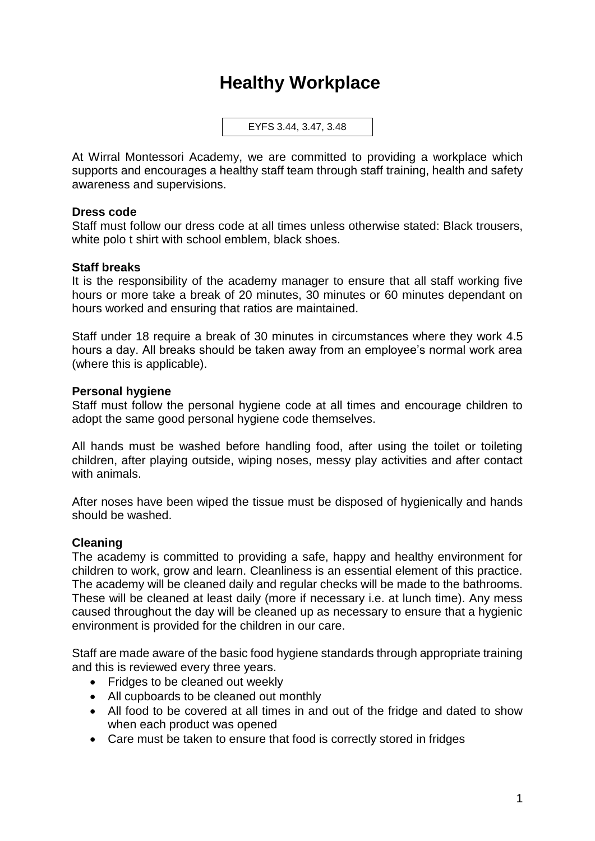# **Healthy Workplace**

EYFS 3.44, 3.47, 3.48

At Wirral Montessori Academy, we are committed to providing a workplace which supports and encourages a healthy staff team through staff training, health and safety awareness and supervisions.

#### **Dress code**

Staff must follow our dress code at all times unless otherwise stated: Black trousers, white polo t shirt with school emblem, black shoes.

## **Staff breaks**

It is the responsibility of the academy manager to ensure that all staff working five hours or more take a break of 20 minutes, 30 minutes or 60 minutes dependant on hours worked and ensuring that ratios are maintained.

Staff under 18 require a break of 30 minutes in circumstances where they work 4.5 hours a day. All breaks should be taken away from an employee's normal work area (where this is applicable).

#### **Personal hygiene**

Staff must follow the personal hygiene code at all times and encourage children to adopt the same good personal hygiene code themselves.

All hands must be washed before handling food, after using the toilet or toileting children, after playing outside, wiping noses, messy play activities and after contact with animals.

After noses have been wiped the tissue must be disposed of hygienically and hands should be washed.

## **Cleaning**

The academy is committed to providing a safe, happy and healthy environment for children to work, grow and learn. Cleanliness is an essential element of this practice. The academy will be cleaned daily and regular checks will be made to the bathrooms. These will be cleaned at least daily (more if necessary i.e. at lunch time). Any mess caused throughout the day will be cleaned up as necessary to ensure that a hygienic environment is provided for the children in our care.

Staff are made aware of the basic food hygiene standards through appropriate training and this is reviewed every three years.

- Fridges to be cleaned out weekly
- All cupboards to be cleaned out monthly
- All food to be covered at all times in and out of the fridge and dated to show when each product was opened
- Care must be taken to ensure that food is correctly stored in fridges